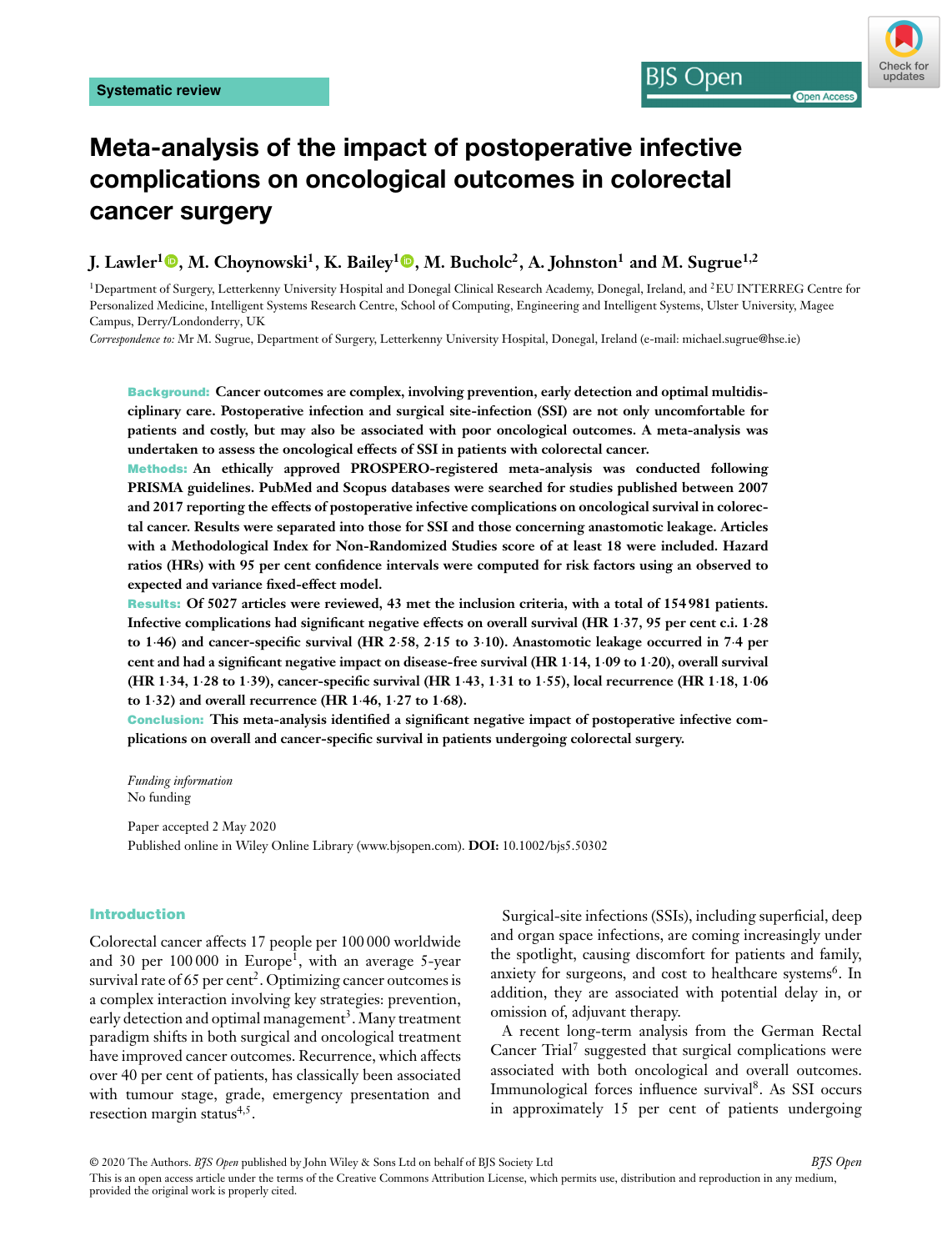# Check for undates

**Open Acces** 

## **Meta-analysis of the impact of postoperative infective complications on oncological outcomes in colorectal cancer surgery**

**I.** Lawler<sup>1</sup> **.** M. Choynowski<sup>1</sup>[,](https://orcid.org/0000-0002-8086-7872) K. Bailey<sup>1</sup> **0**, M. Bucholc<sup>2</sup>, A. Johnston<sup>1</sup> and M. Sugrue<sup>1,2</sup>

<sup>1</sup>Department of Surgery, Letterkenny University Hospital and Donegal Clinical Research Academy, Donegal, Ireland, and <sup>2</sup>EU INTERREG Centre for Personalized Medicine, Intelligent Systems Research Centre, School of Computing, Engineering and Intelligent Systems, Ulster University, Magee Campus, Derry/Londonderry, UK

*Correspondence to:* Mr M. Sugrue, Department of Surgery, Letterkenny University Hospital, Donegal, Ireland (e-mail: michael.sugrue@hse.ie)

**Background: Cancer outcomes are complex, involving prevention, early detection and optimal multidisciplinary care. Postoperative infection and surgical site-infection (SSI) are not only uncomfortable for patients and costly, but may also be associated with poor oncological outcomes. A meta-analysis was undertaken to assess the oncological effects of SSI in patients with colorectal cancer.**

**Methods: An ethically approved PROSPERO-registered meta-analysis was conducted following PRISMA guidelines. PubMed and Scopus databases were searched for studies published between 2007 and 2017 reporting the effects of postoperative infective complications on oncological survival in colorectal cancer. Results were separated into those for SSI and those concerning anastomotic leakage. Articles with a Methodological Index for Non-Randomized Studies score of at least 18 were included. Hazard ratios (HRs) with 95 per cent confidence intervals were computed for risk factors using an observed to expected and variance fixed-effect model.**

**Results: Of 5027 articles were reviewed, 43 met the inclusion criteria, with a total of 154 981 patients. Infective complications had significant negative effects on overall survival (HR 1⋅37, 95 per cent c.i. 1⋅28 to 1⋅46) and cancer-specific survival (HR 2⋅58, 2⋅15 to 3⋅10). Anastomotic leakage occurred in 7⋅4 per cent and had a significant negative impact on disease-free survival (HR 1⋅14, 1⋅09 to 1⋅20), overall survival** (HR 1.34, 1.28 to 1.39), cancer-specific survival (HR 1.43, 1.31 to 1.55), local recurrence (HR 1.18, 1.06 **to 1⋅32) and overall recurrence (HR 1⋅46, 1⋅27 to 1⋅68).**

**Conclusion: This meta-analysis identified a significant negative impact of postoperative infective complications on overall and cancer-specific survival in patients undergoing colorectal surgery.**

*Funding information* No funding

Paper accepted 2 May 2020 Published online in Wiley Online Library (www.bjsopen.com). **DOI:** 10.1002/bjs5.50302

#### **Introduction**

Colorectal cancer affects 17 people per 100 000 worldwide and 30 per  $100000$  in Europe<sup>1</sup>, with an average 5-year survival rate of 65 per cent<sup>2</sup>. Optimizing cancer outcomes is a complex interaction involving key strategies: prevention, early detection and optimal management<sup>3</sup>. Many treatment paradigm shifts in both surgical and oncological treatment have improved cancer outcomes. Recurrence, which affects over 40 per cent of patients, has classically been associated with tumour stage, grade, emergency presentation and resection margin status $4,5$ .

Surgical-site infections (SSIs), including superficial, deep and organ space infections, are coming increasingly under the spotlight, causing discomfort for patients and family, anxiety for surgeons, and cost to healthcare systems<sup>6</sup>. In addition, they are associated with potential delay in, or omission of, adjuvant therapy.

BIS Open

A recent long-term analysis from the German Rectal Cancer Trial<sup>7</sup> suggested that surgical complications were associated with both oncological and overall outcomes. Immunological forces influence survival8. As SSI occurs in approximately 15 per cent of patients undergoing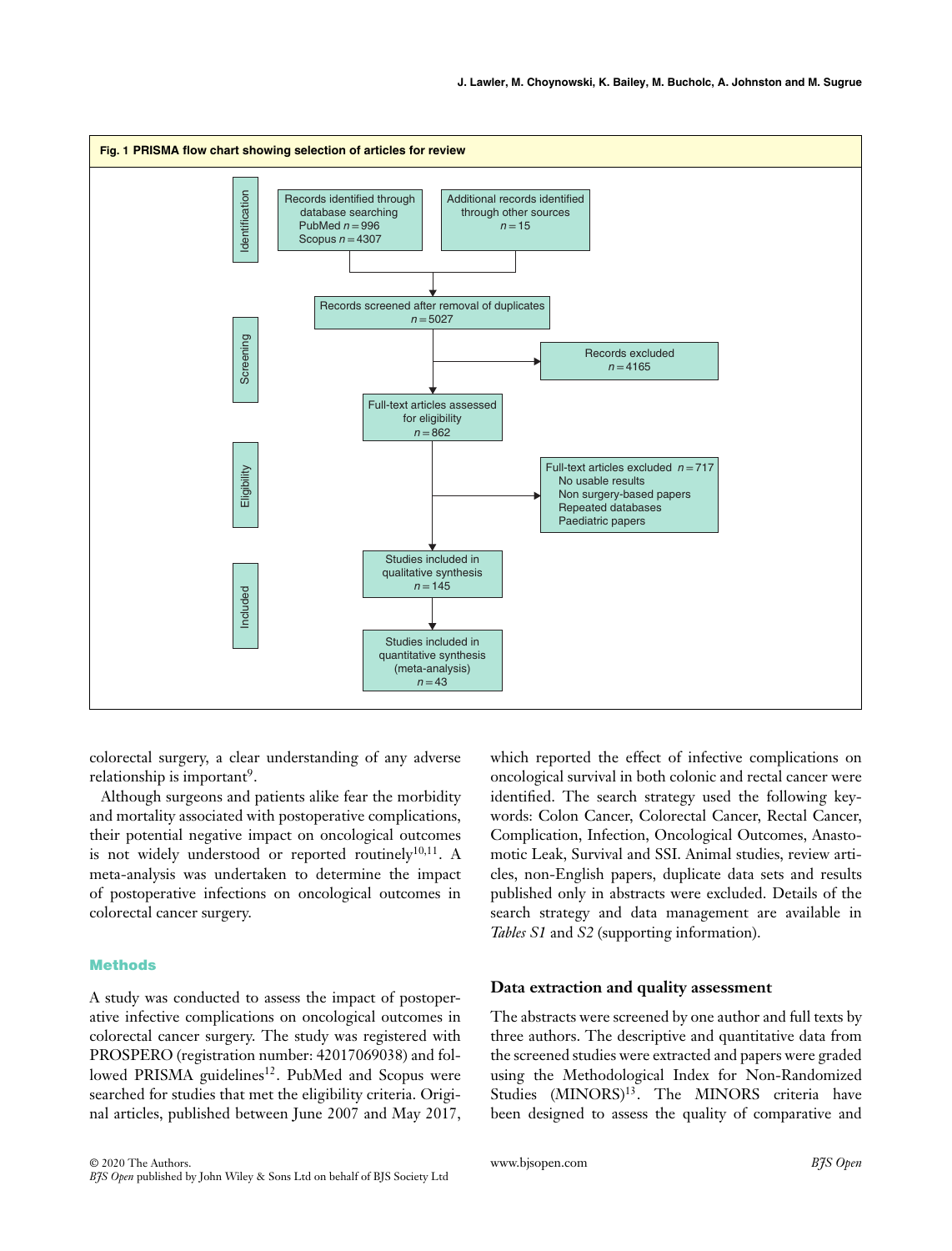

colorectal surgery, a clear understanding of any adverse relationship is important<sup>9</sup>.

Although surgeons and patients alike fear the morbidity and mortality associated with postoperative complications, their potential negative impact on oncological outcomes is not widely understood or reported routinely $10,11$ . A meta-analysis was undertaken to determine the impact of postoperative infections on oncological outcomes in colorectal cancer surgery.

## **Methods**

A study was conducted to assess the impact of postoperative infective complications on oncological outcomes in colorectal cancer surgery. The study was registered with PROSPERO (registration number: 42017069038) and followed PRISMA guidelines<sup>12</sup>. PubMed and Scopus were searched for studies that met the eligibility criteria. Original articles, published between June 2007 and May 2017,

which reported the effect of infective complications on oncological survival in both colonic and rectal cancer were identified. The search strategy used the following keywords: Colon Cancer, Colorectal Cancer, Rectal Cancer, Complication, Infection, Oncological Outcomes, Anastomotic Leak, Survival and SSI. Animal studies, review articles, non-English papers, duplicate data sets and results published only in abstracts were excluded. Details of the search strategy and data management are available in *Tables S1* and *S2* (supporting information).

## **Data extraction and quality assessment**

The abstracts were screened by one author and full texts by three authors. The descriptive and quantitative data from the screened studies were extracted and papers were graded using the Methodological Index for Non-Randomized Studies (MINORS)<sup>13</sup>. The MINORS criteria have been designed to assess the quality of comparative and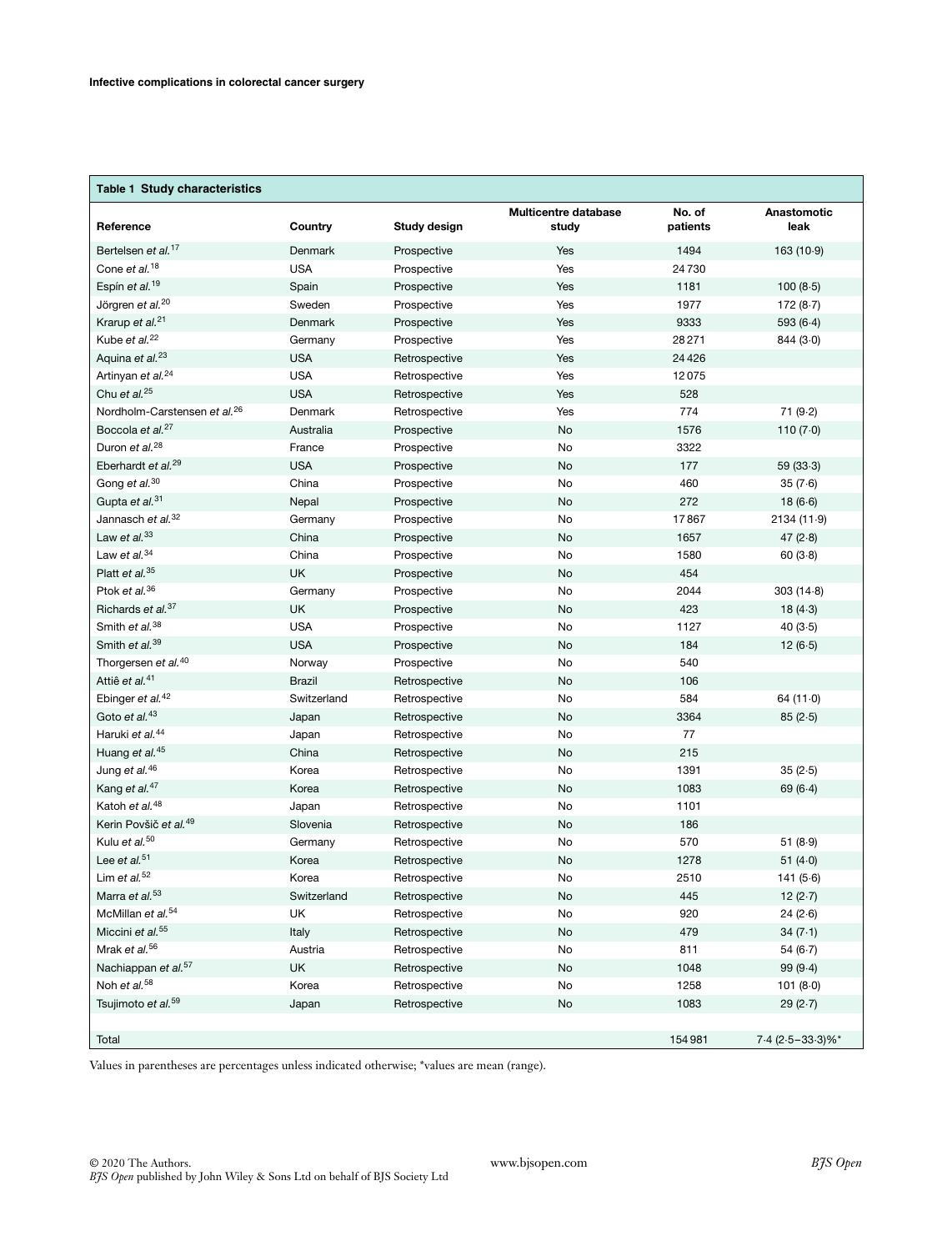## **Table 1 Study characteristics**

| Reference                                                   | Country       | Study design                   | <b>Multicentre database</b><br>study | No. of<br>patients | Anastomotic<br>leak      |
|-------------------------------------------------------------|---------------|--------------------------------|--------------------------------------|--------------------|--------------------------|
| Bertelsen et al. <sup>17</sup>                              | Denmark       | Prospective                    | Yes                                  | 1494               | 163(10.9)                |
| Cone et al. <sup>18</sup>                                   | <b>USA</b>    | Prospective                    | Yes                                  | 24730              |                          |
| Espín et al. <sup>19</sup>                                  | Spain         | Prospective                    | Yes                                  | 1181               | 100(8.5)                 |
| Jörgren et al. <sup>20</sup>                                | Sweden        | Prospective                    | Yes                                  | 1977               | 172(8.7)                 |
| Krarup et al. <sup>21</sup>                                 | Denmark       | Prospective                    | Yes                                  | 9333               | 593(6.4)                 |
| Kube et al. <sup>22</sup>                                   | Germany       | Prospective                    | Yes                                  | 28271              | 844(3.0)                 |
| Aquina et al. <sup>23</sup>                                 | <b>USA</b>    | Retrospective                  | Yes                                  | 24 4 26            |                          |
| Artinyan et al. <sup>24</sup>                               | <b>USA</b>    | Retrospective                  | Yes                                  | 12075              |                          |
| Chu et al. <sup>25</sup>                                    | <b>USA</b>    | Retrospective                  | Yes                                  | 528                |                          |
| Nordholm-Carstensen et al. <sup>26</sup>                    | Denmark       | Retrospective                  | Yes                                  | 774                | 71(9.2)                  |
| Boccola et al. <sup>27</sup>                                | Australia     | Prospective                    | No                                   | 1576               | 110 $(7.0)$              |
| Duron et al. <sup>28</sup>                                  | France        | Prospective                    | No                                   | 3322               |                          |
| Eberhardt et al. <sup>29</sup>                              | <b>USA</b>    | Prospective                    | No                                   | 177                | 59(33.3)                 |
| Gong et al. <sup>30</sup>                                   | China         | Prospective                    | No                                   | 460                | 35(7.6)                  |
| Gupta et al. <sup>31</sup>                                  | Nepal         | Prospective                    | No                                   | 272                | 18(6.6)                  |
| Jannasch et al. <sup>32</sup>                               | Germany       | Prospective                    | No                                   | 17867              | 2134 (11.9)              |
| Law et al. $33$                                             | China         | Prospective                    | No                                   | 1657               | 47 $(2.8)$               |
| Law et al. $34$                                             | China         | Prospective                    | No                                   | 1580               | 60(3.8)                  |
| Platt et al. <sup>35</sup>                                  | <b>UK</b>     | Prospective                    | No                                   | 454                |                          |
| Ptok et al. <sup>36</sup>                                   | Germany       | Prospective                    | No                                   | 2044               | 303(14.8)                |
| Richards et al. <sup>37</sup>                               | <b>UK</b>     | Prospective                    | No                                   | 423                | 18(4.3)                  |
| Smith et al. <sup>38</sup>                                  | <b>USA</b>    | Prospective                    | No                                   | 1127               | 40(3.5)                  |
| Smith et al. <sup>39</sup>                                  | <b>USA</b>    | Prospective                    | No                                   | 184                | 12(6.5)                  |
| Thorgersen et al. <sup>40</sup>                             | Norway        | Prospective                    | No                                   | 540                |                          |
| Attiê et al. <sup>41</sup>                                  | <b>Brazil</b> | Retrospective                  | No                                   | 106                |                          |
| Ebinger et al. <sup>42</sup>                                | Switzerland   | Retrospective                  | No                                   | 584                | 64(11.0)                 |
| Goto et al. <sup>43</sup>                                   | Japan         | Retrospective                  | No                                   | 3364               | 85(2.5)                  |
| Haruki et al. <sup>44</sup>                                 | Japan         | Retrospective                  | No                                   | 77                 |                          |
| Huang et al. <sup>45</sup>                                  | China         | Retrospective                  | No                                   | 215                |                          |
| Jung et al. <sup>46</sup>                                   | Korea         | Retrospective                  | No                                   | 1391               | 35(2.5)                  |
| Kang et al. <sup>47</sup>                                   | Korea         | Retrospective                  | No                                   | 1083               | 69(6.4)                  |
| Katoh et al. <sup>48</sup>                                  | Japan         | Retrospective                  | No                                   | 1101               |                          |
| Kerin Povšič et al. <sup>49</sup>                           | Slovenia      | Retrospective                  | No                                   | 186                |                          |
| Kulu et al. <sup>50</sup><br>Lee et al. $51$                | Germany       | Retrospective                  | No                                   | 570                | 51(8.9)                  |
| Lim et $al.^{52}$                                           | Korea         | Retrospective                  | No                                   | 1278               | 51 $(4.0)$               |
| Marra et al. <sup>53</sup>                                  | Korea         | Retrospective                  | No<br>No                             | 2510<br>445        | 141(5.6)                 |
|                                                             | Switzerland   | Retrospective                  |                                      |                    | 12 $(2.7)$               |
| McMillan et al. <sup>54</sup>                               | UK.           | Retrospective                  | No                                   | 920                | 24(2.6)                  |
| Miccini et al. <sup>55</sup><br>Mrak et al. <sup>56</sup>   | Italy         | Retrospective                  | No                                   | 479<br>811         | 34(7.1)<br>54(6.7)       |
|                                                             | Austria       | Retrospective                  | No                                   |                    |                          |
| Nachiappan et al. <sup>57</sup><br>Noh et al. <sup>58</sup> | UK<br>Korea   | Retrospective<br>Retrospective | No<br>No                             | 1048<br>1258       | 99(9.4)<br>101(8.0)      |
| Tsujimoto et al. <sup>59</sup>                              | Japan         | Retrospective                  | No                                   | 1083               |                          |
|                                                             |               |                                |                                      |                    | 29(2.7)                  |
| Total                                                       |               |                                |                                      | 154981             | $7.4$ (2 $.5 - 33.3$ )%* |

Values in parentheses are percentages unless indicated otherwise; \*values are mean (range).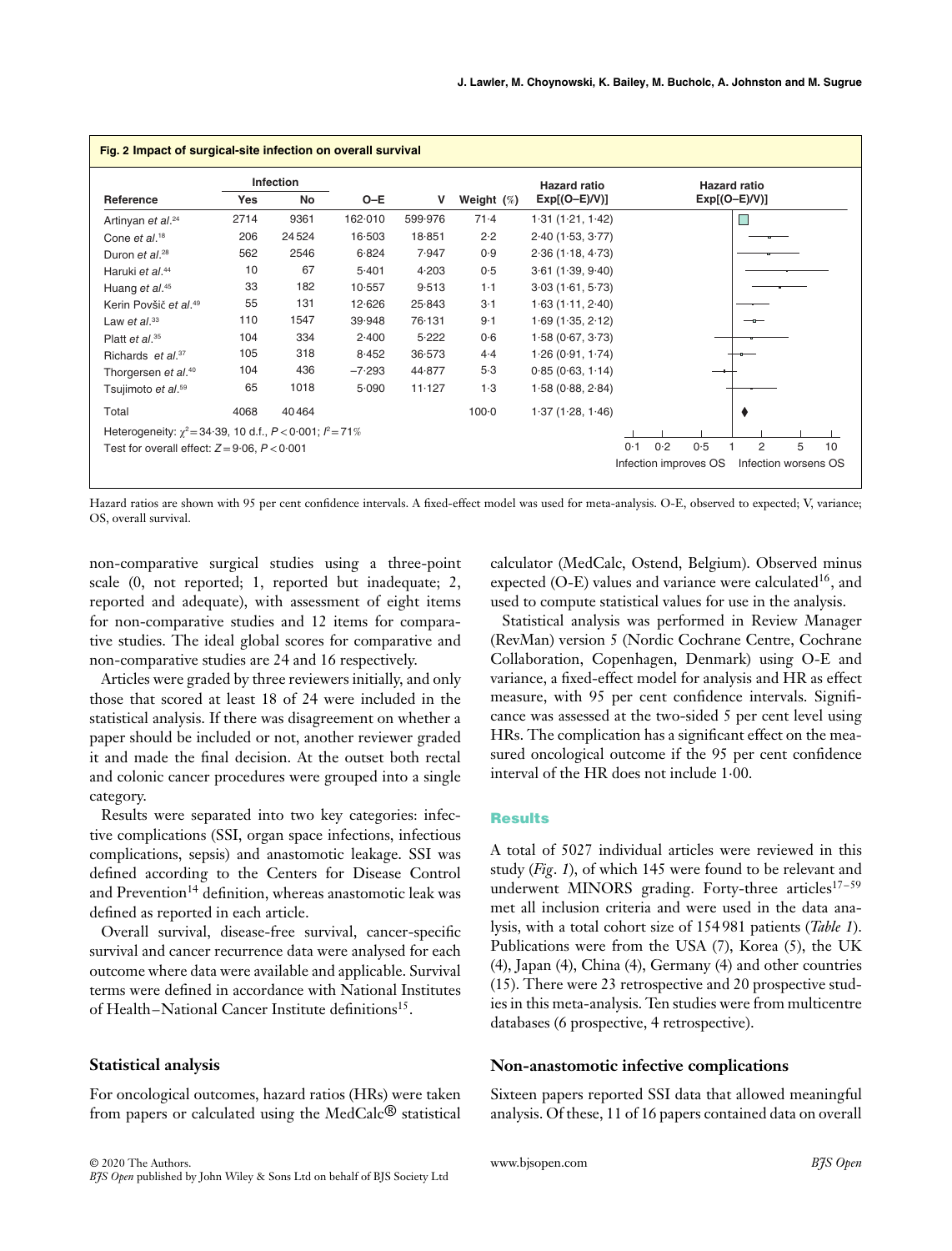| Fig. 2 Impact of surgical-site infection on overall survival       |      |                  |          |         |               |                     |                                                |  |  |  |
|--------------------------------------------------------------------|------|------------------|----------|---------|---------------|---------------------|------------------------------------------------|--|--|--|
|                                                                    |      | <b>Infection</b> |          |         |               | <b>Hazard ratio</b> | <b>Hazard ratio</b>                            |  |  |  |
| Reference                                                          | Yes  | No               | $O-E$    | v       | Weight $(\%)$ | $Exp[(O-E)/V)]$     | $Exp[(O-E)/V)]$                                |  |  |  |
| Artinyan et al. <sup>24</sup>                                      | 2714 | 9361             | 162.010  | 599.976 | 71.4          | 1.31(1.21, 1.42)    |                                                |  |  |  |
| Cone et al. <sup>18</sup>                                          | 206  | 24524            | 16.503   | 18.851  | 2.2           | 2.40(1.53, 3.77)    |                                                |  |  |  |
| Duron et al. <sup>28</sup>                                         | 562  | 2546             | 6.824    | 7.947   | 0.9           | 2.36(1.18, 4.73)    |                                                |  |  |  |
| Haruki et al. <sup>44</sup>                                        | 10   | 67               | 5.401    | 4.203   | 0.5           | 3.61(1.39, 9.40)    |                                                |  |  |  |
| Huang et al. <sup>45</sup>                                         | 33   | 182              | 10.557   | 9.513   | $1 - 1$       | 3.03(1.61, 5.73)    |                                                |  |  |  |
| Kerin Povšič et al. <sup>49</sup>                                  | 55   | 131              | 12.626   | 25.843  | 3·1           | 1.63(1.11, 2.40)    |                                                |  |  |  |
| Law et $al.^{33}$                                                  | 110  | 1547             | 39.948   | 76.131  | $9 - 1$       | 1.69(1.35, 2.12)    |                                                |  |  |  |
| Platt et al. $35$                                                  | 104  | 334              | 2.400    | 5.222   | 0.6           | 1.58(0.67, 3.73)    |                                                |  |  |  |
| Richards et al. <sup>37</sup>                                      | 105  | 318              | 8.452    | 36.573  | 4.4           | 1.26(0.91, 1.74)    |                                                |  |  |  |
| Thorgersen et al. <sup>40</sup>                                    | 104  | 436              | $-7.293$ | 44.877  | 5.3           | 0.85(0.63, 1.14)    |                                                |  |  |  |
| Tsujimoto et al. <sup>59</sup>                                     | 65   | 1018             | 5.090    | 11.127  | $1-3$         | 1.58(0.88, 2.84)    |                                                |  |  |  |
| Total                                                              | 4068 | 40464            |          |         | $100-0$       | 1.37(1.28, 1.46)    |                                                |  |  |  |
| Heterogeneity: $\chi^2$ = 34.39, 10 d.f., $P < 0.001$ ; $P = 71\%$ |      |                  |          |         |               |                     |                                                |  |  |  |
| Test for overall effect: $Z = 9.06$ , $P < 0.001$                  |      |                  |          |         |               |                     | 0.5<br>0.2<br>$\overline{2}$<br>5<br>0.1<br>10 |  |  |  |
|                                                                    |      |                  |          |         |               |                     | Infection improves OS<br>Infection worsens OS  |  |  |  |

Hazard ratios are shown with 95 per cent confidence intervals. A fixed-effect model was used for meta-analysis. O-E, observed to expected; V, variance; OS, overall survival.

non-comparative surgical studies using a three-point scale (0, not reported; 1, reported but inadequate; 2, reported and adequate), with assessment of eight items for non-comparative studies and 12 items for comparative studies. The ideal global scores for comparative and non-comparative studies are 24 and 16 respectively.

Articles were graded by three reviewers initially, and only those that scored at least 18 of 24 were included in the statistical analysis. If there was disagreement on whether a paper should be included or not, another reviewer graded it and made the final decision. At the outset both rectal and colonic cancer procedures were grouped into a single category.

Results were separated into two key categories: infective complications (SSI, organ space infections, infectious complications, sepsis) and anastomotic leakage. SSI was defined according to the Centers for Disease Control and Prevention<sup>14</sup> definition, whereas anastomotic leak was defined as reported in each article.

Overall survival, disease-free survival, cancer-specific survival and cancer recurrence data were analysed for each outcome where data were available and applicable. Survival terms were defined in accordance with National Institutes of Health–National Cancer Institute definitions<sup>15</sup>.

## **Statistical analysis**

For oncological outcomes, hazard ratios (HRs) were taken from papers or calculated using the MedCalc® statistical

calculator (MedCalc, Ostend, Belgium). Observed minus expected (O-E) values and variance were calculated<sup>16</sup>, and used to compute statistical values for use in the analysis.

Statistical analysis was performed in Review Manager (RevMan) version 5 (Nordic Cochrane Centre, Cochrane Collaboration, Copenhagen, Denmark) using O-E and variance, a fixed-effect model for analysis and HR as effect measure, with 95 per cent confidence intervals. Significance was assessed at the two-sided 5 per cent level using HRs. The complication has a significant effect on the measured oncological outcome if the 95 per cent confidence interval of the HR does not include 1⋅00.

## **Results**

A total of 5027 individual articles were reviewed in this study (*Fig*. *1*), of which 145 were found to be relevant and underwent MINORS grading. Forty-three articles<sup>17-59</sup> met all inclusion criteria and were used in the data analysis, with a total cohort size of 154 981 patients (*Table 1*). Publications were from the USA (7), Korea (5), the UK (4), Japan (4), China (4), Germany (4) and other countries (15). There were 23 retrospective and 20 prospective studies in this meta-analysis. Ten studies were from multicentre databases (6 prospective, 4 retrospective).

## **Non-anastomotic infective complications**

Sixteen papers reported SSI data that allowed meaningful analysis. Of these, 11 of 16 papers contained data on overall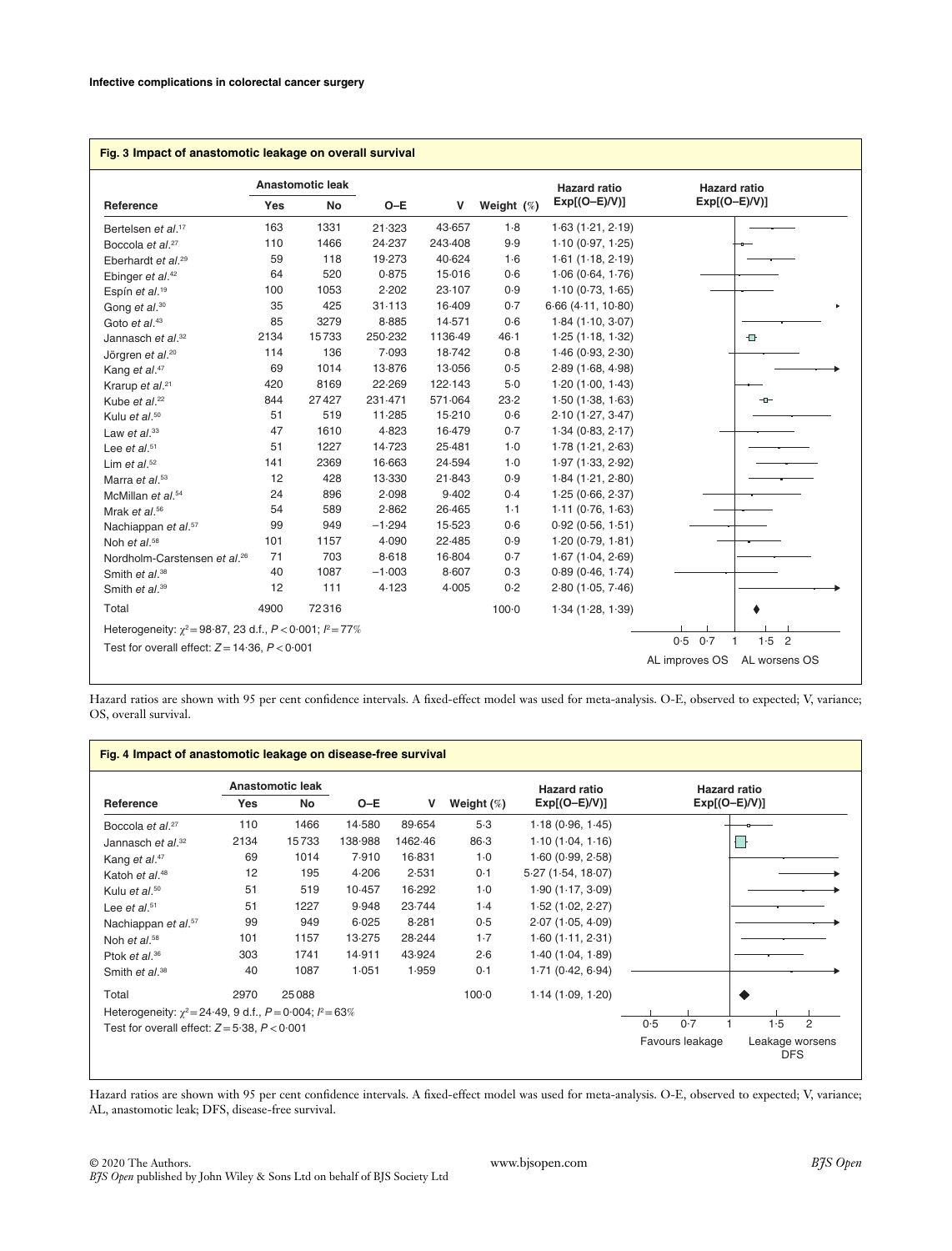| $Exp[(O-E)/V)]$<br>$Exp[(O-E)/V)]$<br>$O-E$<br>Yes<br>No<br>v<br>Weight $(\%)$<br>163<br>1331<br>1.8<br>21.323<br>43.657<br>1.63(1.21, 2.19)<br>9.9<br>110<br>1466<br>24.237<br>243-408<br>1.10(0.97, 1.25)<br>118<br>19.273<br>40.624<br>1.61(1.18, 2.19)<br>59<br>1·6<br>15.016<br>64<br>520<br>0.875<br>0.6<br>1.06(0.64, 1.76)<br>23-107<br>1053<br>2.202<br>0.9<br>1.10(0.73, 1.65)<br>100<br>425<br>35<br>31.113<br>16.409<br>6.66(4.11, 10.80)<br>0.7<br>85<br>3279<br>8.885<br>14.571<br>0.6<br>1.84(1.10, 3.07)<br>2134<br>15733<br>250.232<br>1136-49<br>46.1<br>1.25(1.18, 1.32)<br>$\oplus$<br>136<br>7.093<br>18.742<br>114<br>0.8<br>1.46(0.93, 2.30)<br>1014<br>13-876<br>13-056<br>69<br>0.5<br>2.89(1.68, 4.98)<br>420<br>8169<br>22.269<br>122.143<br>$5-0$<br>1.20(1.00, 1.43)<br>844<br>27427<br>231.471<br>571.064<br>23.2<br>1.50(1.38, 1.63)<br>$-1$<br>51<br>519<br>11.285<br>15-210<br>0.6<br>2.10(1.27, 3.47)<br>47<br>1610<br>4.823<br>16.479<br>1.34(0.83, 2.17)<br>0.7<br>51<br>1227<br>14.723<br>25.481<br>$1-0$<br>1.78(1.21, 2.63)<br>24.594<br>141<br>2369<br>16.663<br>$1-0$<br>1.97(1.33, 2.92)<br>12<br>428<br>13.330<br>21.843<br>0.9<br>1.84(1.21, 2.80)<br>24<br>896<br>2.098<br>9.402<br>0.4<br>1.25(0.66, 2.37)<br>54<br>589<br>2.862<br>26.465<br>$1-1$<br>1.11(0.76, 1.63)<br>99<br>949<br>$-1.294$<br>15.523<br>0.6<br>0.92(0.56, 1.51)<br>101<br>4.090<br>22.485<br>0.9<br>1157<br>1.20(0.79, 1.81)<br>703<br>71<br>8.618<br>16.804<br>0.7<br>1.67(1.04, 2.69)<br>1087<br>8.607<br>40<br>$-1.003$<br>0.3<br>0.89(0.46, 1.74)<br>111<br>4.123<br>4.005<br>0.2<br>12<br>2.80(1.05, 7.46)<br>4900<br>72316<br>$100 - 0$<br>1.34(1.28, 1.39)<br>Heterogeneity: $\chi^2 = 98.87$ , 23 d.f., $P < 0.001$ ; $P = 77\%$<br>$1.5$ 2 |                                          | Anastomotic leak |  | <b>Hazard ratio</b> | <b>Hazard ratio</b>        |
|-------------------------------------------------------------------------------------------------------------------------------------------------------------------------------------------------------------------------------------------------------------------------------------------------------------------------------------------------------------------------------------------------------------------------------------------------------------------------------------------------------------------------------------------------------------------------------------------------------------------------------------------------------------------------------------------------------------------------------------------------------------------------------------------------------------------------------------------------------------------------------------------------------------------------------------------------------------------------------------------------------------------------------------------------------------------------------------------------------------------------------------------------------------------------------------------------------------------------------------------------------------------------------------------------------------------------------------------------------------------------------------------------------------------------------------------------------------------------------------------------------------------------------------------------------------------------------------------------------------------------------------------------------------------------------------------------------------------------------------------------------------------------|------------------------------------------|------------------|--|---------------------|----------------------------|
|                                                                                                                                                                                                                                                                                                                                                                                                                                                                                                                                                                                                                                                                                                                                                                                                                                                                                                                                                                                                                                                                                                                                                                                                                                                                                                                                                                                                                                                                                                                                                                                                                                                                                                                                                                         | Reference                                |                  |  |                     |                            |
|                                                                                                                                                                                                                                                                                                                                                                                                                                                                                                                                                                                                                                                                                                                                                                                                                                                                                                                                                                                                                                                                                                                                                                                                                                                                                                                                                                                                                                                                                                                                                                                                                                                                                                                                                                         | Bertelsen et al. <sup>17</sup>           |                  |  |                     |                            |
|                                                                                                                                                                                                                                                                                                                                                                                                                                                                                                                                                                                                                                                                                                                                                                                                                                                                                                                                                                                                                                                                                                                                                                                                                                                                                                                                                                                                                                                                                                                                                                                                                                                                                                                                                                         | Boccola et al. <sup>27</sup>             |                  |  |                     |                            |
|                                                                                                                                                                                                                                                                                                                                                                                                                                                                                                                                                                                                                                                                                                                                                                                                                                                                                                                                                                                                                                                                                                                                                                                                                                                                                                                                                                                                                                                                                                                                                                                                                                                                                                                                                                         | Eberhardt et al. <sup>29</sup>           |                  |  |                     |                            |
|                                                                                                                                                                                                                                                                                                                                                                                                                                                                                                                                                                                                                                                                                                                                                                                                                                                                                                                                                                                                                                                                                                                                                                                                                                                                                                                                                                                                                                                                                                                                                                                                                                                                                                                                                                         | Ebinger et al. <sup>42</sup>             |                  |  |                     |                            |
|                                                                                                                                                                                                                                                                                                                                                                                                                                                                                                                                                                                                                                                                                                                                                                                                                                                                                                                                                                                                                                                                                                                                                                                                                                                                                                                                                                                                                                                                                                                                                                                                                                                                                                                                                                         | Espín et al. <sup>19</sup>               |                  |  |                     |                            |
|                                                                                                                                                                                                                                                                                                                                                                                                                                                                                                                                                                                                                                                                                                                                                                                                                                                                                                                                                                                                                                                                                                                                                                                                                                                                                                                                                                                                                                                                                                                                                                                                                                                                                                                                                                         | Gong et al. <sup>30</sup>                |                  |  |                     |                            |
|                                                                                                                                                                                                                                                                                                                                                                                                                                                                                                                                                                                                                                                                                                                                                                                                                                                                                                                                                                                                                                                                                                                                                                                                                                                                                                                                                                                                                                                                                                                                                                                                                                                                                                                                                                         | Goto et al. <sup>43</sup>                |                  |  |                     |                            |
|                                                                                                                                                                                                                                                                                                                                                                                                                                                                                                                                                                                                                                                                                                                                                                                                                                                                                                                                                                                                                                                                                                                                                                                                                                                                                                                                                                                                                                                                                                                                                                                                                                                                                                                                                                         | Jannasch et al. <sup>32</sup>            |                  |  |                     |                            |
|                                                                                                                                                                                                                                                                                                                                                                                                                                                                                                                                                                                                                                                                                                                                                                                                                                                                                                                                                                                                                                                                                                                                                                                                                                                                                                                                                                                                                                                                                                                                                                                                                                                                                                                                                                         | Jörgren et al. <sup>20</sup>             |                  |  |                     |                            |
|                                                                                                                                                                                                                                                                                                                                                                                                                                                                                                                                                                                                                                                                                                                                                                                                                                                                                                                                                                                                                                                                                                                                                                                                                                                                                                                                                                                                                                                                                                                                                                                                                                                                                                                                                                         | Kang et al. <sup>47</sup>                |                  |  |                     |                            |
|                                                                                                                                                                                                                                                                                                                                                                                                                                                                                                                                                                                                                                                                                                                                                                                                                                                                                                                                                                                                                                                                                                                                                                                                                                                                                                                                                                                                                                                                                                                                                                                                                                                                                                                                                                         | Krarup et al. <sup>21</sup>              |                  |  |                     |                            |
|                                                                                                                                                                                                                                                                                                                                                                                                                                                                                                                                                                                                                                                                                                                                                                                                                                                                                                                                                                                                                                                                                                                                                                                                                                                                                                                                                                                                                                                                                                                                                                                                                                                                                                                                                                         | Kube et al. <sup>22</sup>                |                  |  |                     |                            |
|                                                                                                                                                                                                                                                                                                                                                                                                                                                                                                                                                                                                                                                                                                                                                                                                                                                                                                                                                                                                                                                                                                                                                                                                                                                                                                                                                                                                                                                                                                                                                                                                                                                                                                                                                                         | Kulu et al. <sup>50</sup>                |                  |  |                     |                            |
|                                                                                                                                                                                                                                                                                                                                                                                                                                                                                                                                                                                                                                                                                                                                                                                                                                                                                                                                                                                                                                                                                                                                                                                                                                                                                                                                                                                                                                                                                                                                                                                                                                                                                                                                                                         | Law et $al^{33}$                         |                  |  |                     |                            |
|                                                                                                                                                                                                                                                                                                                                                                                                                                                                                                                                                                                                                                                                                                                                                                                                                                                                                                                                                                                                                                                                                                                                                                                                                                                                                                                                                                                                                                                                                                                                                                                                                                                                                                                                                                         | Lee et al. $51$                          |                  |  |                     |                            |
|                                                                                                                                                                                                                                                                                                                                                                                                                                                                                                                                                                                                                                                                                                                                                                                                                                                                                                                                                                                                                                                                                                                                                                                                                                                                                                                                                                                                                                                                                                                                                                                                                                                                                                                                                                         | Lim et $al.^{52}$                        |                  |  |                     |                            |
|                                                                                                                                                                                                                                                                                                                                                                                                                                                                                                                                                                                                                                                                                                                                                                                                                                                                                                                                                                                                                                                                                                                                                                                                                                                                                                                                                                                                                                                                                                                                                                                                                                                                                                                                                                         | Marra et al. <sup>53</sup>               |                  |  |                     |                            |
|                                                                                                                                                                                                                                                                                                                                                                                                                                                                                                                                                                                                                                                                                                                                                                                                                                                                                                                                                                                                                                                                                                                                                                                                                                                                                                                                                                                                                                                                                                                                                                                                                                                                                                                                                                         | McMillan et al. <sup>54</sup>            |                  |  |                     |                            |
|                                                                                                                                                                                                                                                                                                                                                                                                                                                                                                                                                                                                                                                                                                                                                                                                                                                                                                                                                                                                                                                                                                                                                                                                                                                                                                                                                                                                                                                                                                                                                                                                                                                                                                                                                                         | Mrak et al. <sup>56</sup>                |                  |  |                     |                            |
|                                                                                                                                                                                                                                                                                                                                                                                                                                                                                                                                                                                                                                                                                                                                                                                                                                                                                                                                                                                                                                                                                                                                                                                                                                                                                                                                                                                                                                                                                                                                                                                                                                                                                                                                                                         | Nachiappan et al. <sup>57</sup>          |                  |  |                     |                            |
|                                                                                                                                                                                                                                                                                                                                                                                                                                                                                                                                                                                                                                                                                                                                                                                                                                                                                                                                                                                                                                                                                                                                                                                                                                                                                                                                                                                                                                                                                                                                                                                                                                                                                                                                                                         | Noh et al. <sup>58</sup>                 |                  |  |                     |                            |
|                                                                                                                                                                                                                                                                                                                                                                                                                                                                                                                                                                                                                                                                                                                                                                                                                                                                                                                                                                                                                                                                                                                                                                                                                                                                                                                                                                                                                                                                                                                                                                                                                                                                                                                                                                         | Nordholm-Carstensen et al. <sup>26</sup> |                  |  |                     |                            |
|                                                                                                                                                                                                                                                                                                                                                                                                                                                                                                                                                                                                                                                                                                                                                                                                                                                                                                                                                                                                                                                                                                                                                                                                                                                                                                                                                                                                                                                                                                                                                                                                                                                                                                                                                                         | Smith et al. <sup>38</sup>               |                  |  |                     |                            |
|                                                                                                                                                                                                                                                                                                                                                                                                                                                                                                                                                                                                                                                                                                                                                                                                                                                                                                                                                                                                                                                                                                                                                                                                                                                                                                                                                                                                                                                                                                                                                                                                                                                                                                                                                                         | Smith et al. <sup>39</sup>               |                  |  |                     |                            |
|                                                                                                                                                                                                                                                                                                                                                                                                                                                                                                                                                                                                                                                                                                                                                                                                                                                                                                                                                                                                                                                                                                                                                                                                                                                                                                                                                                                                                                                                                                                                                                                                                                                                                                                                                                         | Total                                    |                  |  |                     |                            |
|                                                                                                                                                                                                                                                                                                                                                                                                                                                                                                                                                                                                                                                                                                                                                                                                                                                                                                                                                                                                                                                                                                                                                                                                                                                                                                                                                                                                                                                                                                                                                                                                                                                                                                                                                                         |                                          |                  |  |                     | 0.5<br>0.7<br>$\mathbf{1}$ |

Hazard ratios are shown with 95 per cent confidence intervals. A fixed-effect model was used for meta-analysis. O-E, observed to expected; V, variance; OS, overall survival.

| Fig. 4 Impact of anastomotic leakage on disease-free survival      |      |                        |         |         |               |                                        |                                                  |  |  |  |
|--------------------------------------------------------------------|------|------------------------|---------|---------|---------------|----------------------------------------|--------------------------------------------------|--|--|--|
| Reference                                                          | Yes  | Anastomotic leak<br>No | $O-E$   | v       | Weight $(\%)$ | <b>Hazard ratio</b><br>$Exp[(O-E)/V)]$ | <b>Hazard ratio</b><br>$Exp[(O-E)/V)]$           |  |  |  |
| Boccola et al. <sup>27</sup>                                       | 110  | 1466                   | 14.580  | 89.654  | 5.3           | 1.18(0.96, 1.45)                       |                                                  |  |  |  |
| Jannasch et $al.^{32}$                                             | 2134 | 15733                  | 138.988 | 1462.46 | $86-3$        | 1.10(1.04, 1.16)                       |                                                  |  |  |  |
| Kang et al. <sup>47</sup>                                          | 69   | 1014                   | 7.910   | 16.831  | $1-0$         | 1.60(0.99, 2.58)                       |                                                  |  |  |  |
| Katoh et al. <sup>48</sup>                                         | 12   | 195                    | 4.206   | 2.531   | 0.1           | 5.27(1.54, 18.07)                      |                                                  |  |  |  |
| Kulu et al. <sup>50</sup>                                          | 51   | 519                    | 10.457  | 16-292  | $1-0$         | 1.90(1.17, 3.09)                       |                                                  |  |  |  |
| Lee et al. $51$                                                    | 51   | 1227                   | 9.948   | 23.744  | $1-4$         | 1.52(1.02, 2.27)                       |                                                  |  |  |  |
| Nachiappan et al. <sup>57</sup>                                    | 99   | 949                    | 6.025   | 8.281   | 0.5           | 2.07(1.05, 4.09)                       |                                                  |  |  |  |
| Noh et al. <sup>58</sup>                                           | 101  | 1157                   | 13-275  | 28-244  | $1-7$         | 1.60(1.11, 2.31)                       |                                                  |  |  |  |
| Ptok et al. $36$                                                   | 303  | 1741                   | 14.911  | 43.924  | 2.6           | 1.40(1.04, 1.89)                       |                                                  |  |  |  |
| Smith et al. <sup>38</sup>                                         | 40   | 1087                   | 1.051   | 1.959   | 0.1           | 1.71(0.42, 6.94)                       |                                                  |  |  |  |
| Total                                                              | 2970 | 25088                  |         |         | $100-0$       | 1.14(1.09, 1.20)                       |                                                  |  |  |  |
| Heterogeneity: $\chi^2 = 24.49$ , 9 d.f., $P = 0.004$ ; $P = 63\%$ |      |                        |         |         |               |                                        |                                                  |  |  |  |
| Test for overall effect: $Z = 5.38$ , $P < 0.001$                  |      |                        |         |         |               |                                        | 0.7<br>0.5<br>1.5<br>$\overline{2}$              |  |  |  |
|                                                                    |      |                        |         |         |               |                                        | Favours leakage<br>Leakage worsens<br><b>DFS</b> |  |  |  |

Hazard ratios are shown with 95 per cent confidence intervals. A fixed-effect model was used for meta-analysis. O-E, observed to expected; V, variance; AL, anastomotic leak; DFS, disease-free survival.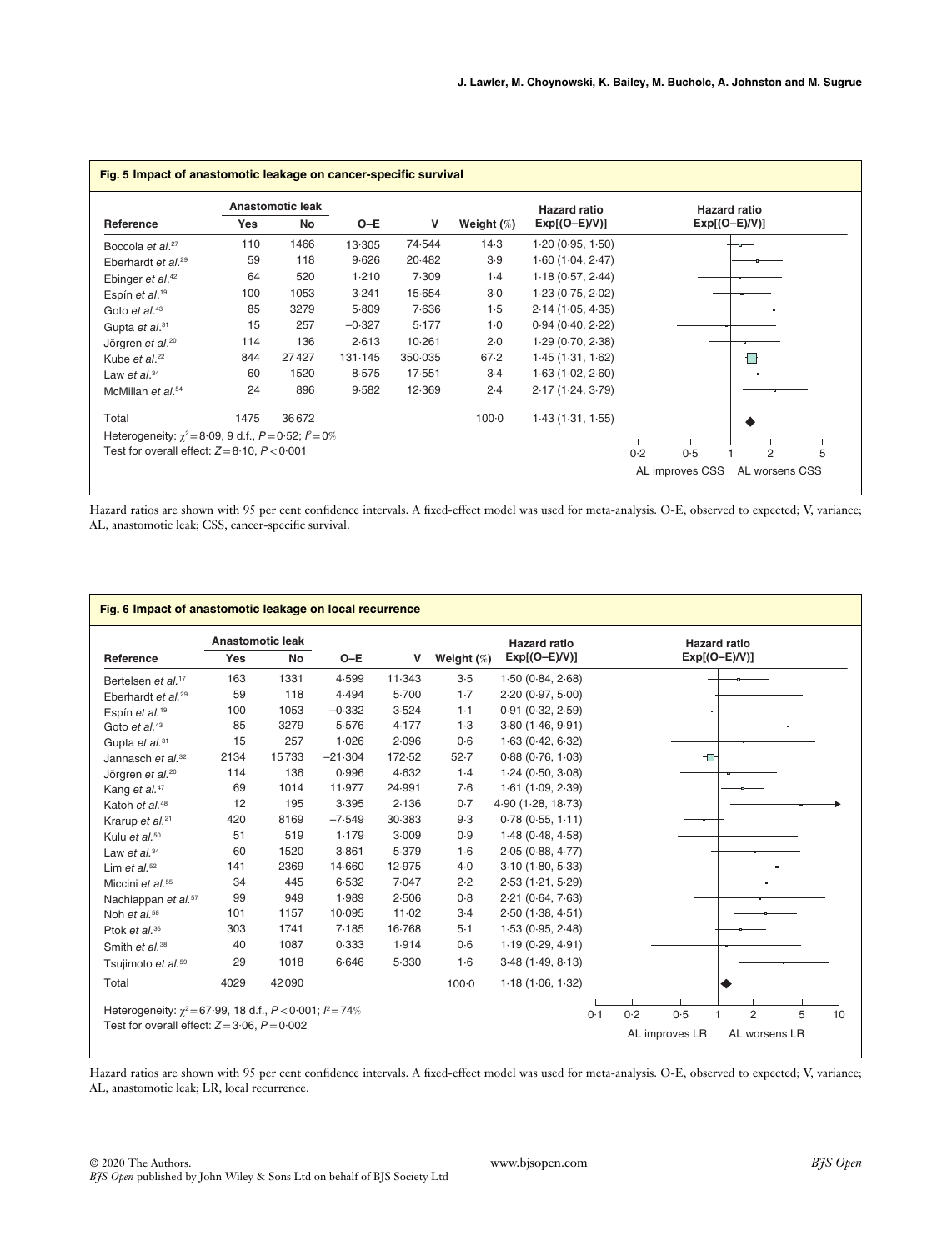|                                                                   |      | <b>Anastomotic leak</b> |          |         |               | <b>Hazard ratio</b> |     |     | <b>Hazard ratio</b> |  |
|-------------------------------------------------------------------|------|-------------------------|----------|---------|---------------|---------------------|-----|-----|---------------------|--|
| Reference                                                         | Yes  | No                      | $O-E$    | v       | Weight $(\%)$ | $Exp[(O-E)/V)]$     |     |     | $Exp[(O-E)/V)]$     |  |
| Boccola et al. <sup>27</sup>                                      | 110  | 1466                    | 13.305   | 74.544  | 14.3          | 1.20(0.95, 1.50)    |     |     |                     |  |
| Eberhardt et al. <sup>29</sup>                                    | 59   | 118                     | 9.626    | 20.482  | 3.9           | 1.60(1.04, 2.47)    |     |     |                     |  |
| Ebinger et al. <sup>42</sup>                                      | 64   | 520                     | 1.210    | 7.309   | 1.4           | 1.18(0.57, 2.44)    |     |     |                     |  |
| Espín et al. <sup>19</sup>                                        | 100  | 1053                    | 3.241    | 15.654  | 3.0           | 1.23(0.75, 2.02)    |     |     |                     |  |
| Goto et $al.^{43}$                                                | 85   | 3279                    | 5.809    | 7.636   | 1.5           | 2.14(1.05, 4.35)    |     |     |                     |  |
| Gupta et al. <sup>31</sup>                                        | 15   | 257                     | $-0.327$ | 5.177   | $1-0$         | 0.94(0.40, 2.22)    |     |     |                     |  |
| Jörgren et al. <sup>20</sup>                                      | 114  | 136                     | 2.613    | 10.261  | 2.0           | 1.29(0.70, 2.38)    |     |     |                     |  |
| Kube et al. <sup>22</sup>                                         | 844  | 27427                   | 131.145  | 350.035 | 67.2          | 1.45(1.31, 1.62)    |     |     |                     |  |
| Law et $al.^{34}$                                                 | 60   | 1520                    | 8.575    | 17.551  | $3-4$         | 1.63(1.02, 2.60)    |     |     |                     |  |
| McMillan et al. <sup>54</sup>                                     | 24   | 896                     | 9.582    | 12.369  | 2.4           | 2.17(1.24, 3.79)    |     |     |                     |  |
| Total                                                             | 1475 | 36672                   |          |         | $100 - 0$     | 1.43(1.31, 1.55)    |     |     |                     |  |
| Heterogeneity: $\chi^2 = 8.09$ , 9 d.f., $P = 0.52$ ; $l^2 = 0\%$ |      |                         |          |         |               |                     |     |     |                     |  |
| Test for overall effect: $Z = 8.10$ , $P < 0.001$                 |      |                         |          |         |               |                     | 0.2 | 0.5 | $\overline{2}$      |  |

Hazard ratios are shown with 95 per cent confidence intervals. A fixed-effect model was used for meta-analysis. O-E, observed to expected; V, variance; AL, anastomotic leak; CSS, cancer-specific survival.

|                                                                                                                          |            | <b>Anastomotic leak</b> |           |        |               | <b>Hazard ratio</b> | <b>Hazard ratio</b>                                                                          |
|--------------------------------------------------------------------------------------------------------------------------|------------|-------------------------|-----------|--------|---------------|---------------------|----------------------------------------------------------------------------------------------|
| Reference                                                                                                                | <b>Yes</b> | <b>No</b>               | $O-E$     | v      | Weight $(\%)$ | $Exp[(O-E)/V)]$     | $Exp[(O-E)/V)]$                                                                              |
| Bertelsen et al. <sup>17</sup>                                                                                           | 163        | 1331                    | 4.599     | 11.343 | 3.5           | 1.50(0.84, 2.68)    |                                                                                              |
| Eberhardt et al. <sup>29</sup>                                                                                           | 59         | 118                     | 4.494     | 5.700  | $1-7$         | 2.20(0.97, 5.00)    |                                                                                              |
| Espín et al. <sup>19</sup>                                                                                               | 100        | 1053                    | $-0.332$  | 3.524  | $1-1$         | 0.91(0.32, 2.59)    |                                                                                              |
| Goto et al. <sup>43</sup>                                                                                                | 85         | 3279                    | 5.576     | 4.177  | $1-3$         | 3.80(1.46, 9.91)    |                                                                                              |
| Gupta et al. <sup>31</sup>                                                                                               | 15         | 257                     | 1.026     | 2.096  | 0.6           | 1.63(0.42, 6.32)    |                                                                                              |
| Jannasch et $al^{32}$                                                                                                    | 2134       | 15733                   | $-21.304$ | 172.52 | 52.7          | 0.88(0.76, 1.03)    | $\Box$                                                                                       |
| Jörgren et al. <sup>20</sup>                                                                                             | 114        | 136                     | 0.996     | 4.632  | 1.4           | 1.24(0.50, 3.08)    |                                                                                              |
| Kang et al. <sup>47</sup>                                                                                                | 69         | 1014                    | 11.977    | 24.991 | 7.6           | 1.61(1.09, 2.39)    |                                                                                              |
| Katoh et al. <sup>48</sup>                                                                                               | 12         | 195                     | 3.395     | 2.136  | 0.7           | 4.90(1.28, 18.73)   |                                                                                              |
| Krarup et al. <sup>21</sup>                                                                                              | 420        | 8169                    | $-7.549$  | 30.383 | 9.3           | 0.78(0.55, 1.11)    |                                                                                              |
| Kulu et al. <sup>50</sup>                                                                                                | 51         | 519                     | 1.179     | 3.009  | 0.9           | 1.48(0.48, 4.58)    |                                                                                              |
| Law et al. <sup>34</sup>                                                                                                 | 60         | 1520                    | 3.861     | 5.379  | 1·6           | 2.05(0.88, 4.77)    |                                                                                              |
| Lim et al. $52$                                                                                                          | 141        | 2369                    | 14.660    | 12.975 | 4.0           | 3.10(1.80, 5.33)    |                                                                                              |
| Miccini et al. <sup>55</sup>                                                                                             | 34         | 445                     | 6.532     | 7.047  | 2.2           | 2.53(1.21, 5.29)    |                                                                                              |
| Nachiappan et al. <sup>57</sup>                                                                                          | 99         | 949                     | 1.989     | 2.506  | 0.8           | 2.21(0.64, 7.63)    |                                                                                              |
| Noh et al. <sup>58</sup>                                                                                                 | 101        | 1157                    | 10.095    | 11.02  | $3-4$         | 2.50(1.38, 4.51)    |                                                                                              |
| Ptok et al. $36$                                                                                                         | 303        | 1741                    | 7.185     | 16.768 | $5-1$         | 1.53(0.95, 2.48)    |                                                                                              |
| Smith et al. <sup>38</sup>                                                                                               | 40         | 1087                    | 0.333     | 1.914  | 0.6           | 1.19(0.29, 4.91)    |                                                                                              |
| Tsujimoto et al. <sup>59</sup>                                                                                           | 29         | 1018                    | 6.646     | 5.330  | 1·6           | 3.48(1.49, 8.13)    |                                                                                              |
| Total                                                                                                                    | 4029       | 42090                   |           |        | $100 - 0$     | 1.18(1.06, 1.32)    |                                                                                              |
| Heterogeneity: $\chi^2 = 67.99$ , 18 d.f., $P < 0.001$ ; $P = 74\%$<br>Test for overall effect: $Z = 3.06$ , $P = 0.002$ |            |                         |           |        |               | 0.1                 | 0.5<br>$\overline{2}$<br>0.2<br>5<br>10<br>$\overline{1}$<br>AL improves LR<br>AL worsens LR |

Hazard ratios are shown with 95 per cent confidence intervals. A fixed-effect model was used for meta-analysis. O-E, observed to expected; V, variance; AL, anastomotic leak; LR, local recurrence.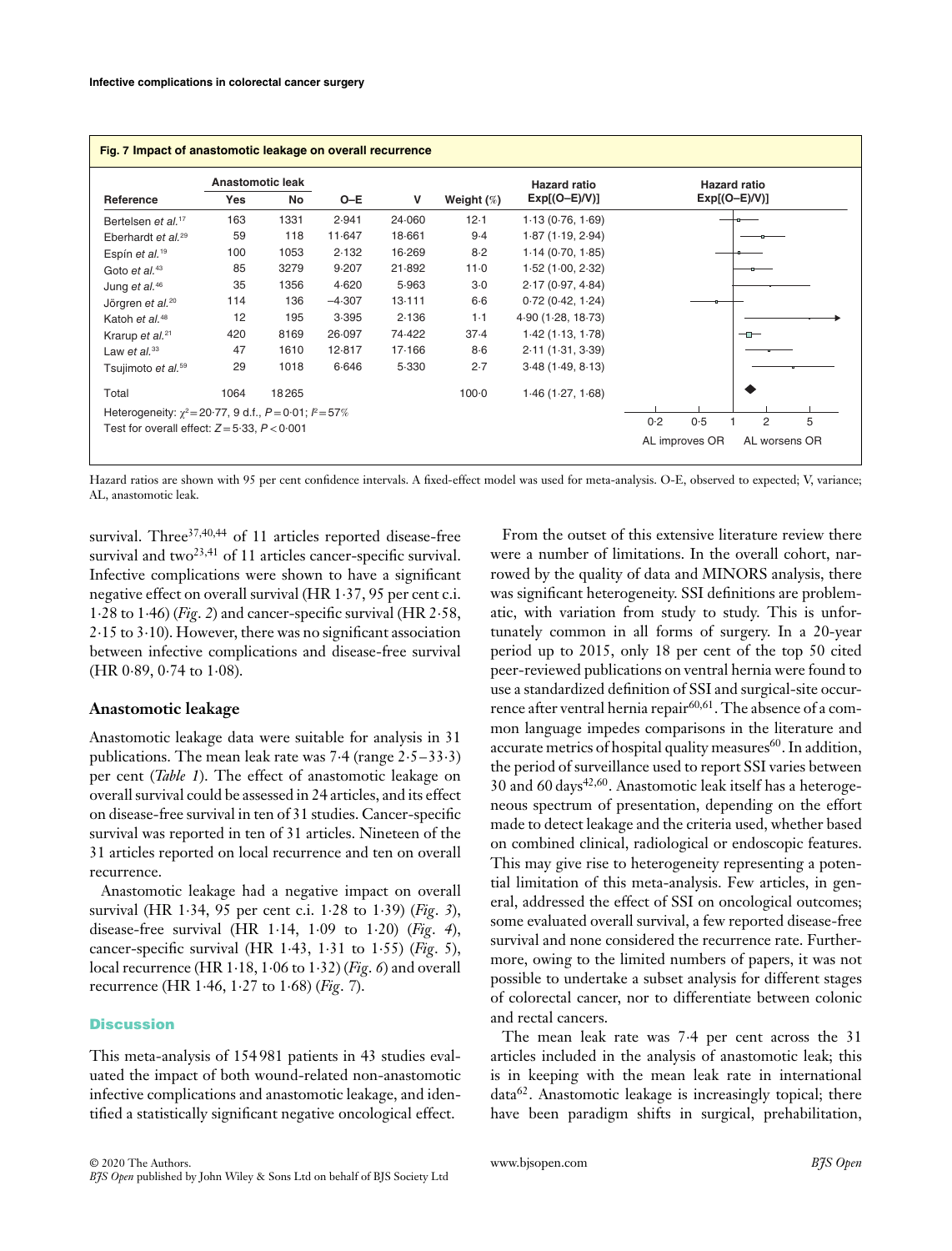| Fig. 7 Impact of anastomotic leakage on overall recurrence        |      |                        |          |        |                  |                                        |                                        |  |  |  |
|-------------------------------------------------------------------|------|------------------------|----------|--------|------------------|----------------------------------------|----------------------------------------|--|--|--|
| Reference                                                         | Yes  | Anastomotic leak<br>No | $O-E$    | V      | Weight $(\%)$    | <b>Hazard ratio</b><br>$Exp[(O-E)/V)]$ | <b>Hazard ratio</b><br>$Exp[(O-E)/V)]$ |  |  |  |
| Bertelsen et al. <sup>17</sup>                                    | 163  | 1331                   | 2.941    | 24.060 | 12.1             | 1.13(0.76, 1.69)                       |                                        |  |  |  |
| Eberhardt et al. <sup>29</sup>                                    | 59   | 118                    | 11.647   | 18.661 | 9.4              | 1.87(1.19, 2.94)                       |                                        |  |  |  |
| Espín et al. <sup>19</sup>                                        | 100  | 1053                   | 2.132    | 16.269 | $8-2$            | 1.14(0.70, 1.85)                       |                                        |  |  |  |
| Goto et al. $43$                                                  | 85   | 3279                   | 9.207    | 21.892 | 11.0             | 1.52(1.00, 2.32)                       |                                        |  |  |  |
| Jung et al. <sup>46</sup>                                         | 35   | 1356                   | 4.620    | 5.963  | $3-0$            | 2.17(0.97, 4.84)                       |                                        |  |  |  |
| Jörgren et al. <sup>20</sup>                                      | 114  | 136                    | $-4.307$ | 13.111 | $6-6$            | 0.72(0.42, 1.24)                       |                                        |  |  |  |
| Katoh et al. <sup>48</sup>                                        | 12   | 195                    | 3.395    | 2.136  | $1 - 1$          | 4.90(1.28, 18.73)                      |                                        |  |  |  |
| Krarup et al. <sup>21</sup>                                       | 420  | 8169                   | 26.097   | 74.422 | 37.4             | 1.42(1.13, 1.78)                       |                                        |  |  |  |
| Law et al. $33$                                                   | 47   | 1610                   | 12.817   | 17.166 | $8-6$            | 2.11(1.31, 3.39)                       |                                        |  |  |  |
| Tsujimoto et al. <sup>59</sup>                                    | 29   | 1018                   | 6.646    | 5.330  | 2.7              | 3.48(1.49, 8.13)                       |                                        |  |  |  |
| Total                                                             | 1064 | 18265                  |          |        | 100 <sub>0</sub> | 1.46(1.27, 1.68)                       |                                        |  |  |  |
| Heterogeneity: $\chi^2 = 20.77$ , 9 d.f., $P = 0.01$ ; $P = 57\%$ |      |                        |          |        |                  |                                        |                                        |  |  |  |
| Test for overall effect: $Z = 5.33$ , $P < 0.001$                 |      |                        |          |        |                  |                                        | 0.2<br>2<br>5<br>0.5                   |  |  |  |
|                                                                   |      |                        |          |        |                  |                                        | AL improves OR<br>AL worsens OR        |  |  |  |

Hazard ratios are shown with 95 per cent confidence intervals. A fixed-effect model was used for meta-analysis. O-E, observed to expected; V, variance; AL, anastomotic leak.

survival. Three<sup>37,40,44</sup> of 11 articles reported disease-free survival and two<sup>23,41</sup> of 11 articles cancer-specific survival. Infective complications were shown to have a significant negative effect on overall survival (HR 1⋅37, 95 per cent c.i. 1⋅28 to 1⋅46) (*Fig*. *2*) and cancer-specific survival (HR 2⋅58, 2⋅15 to 3⋅10). However, there was no significant association between infective complications and disease-free survival (HR 0⋅89, 0⋅74 to 1⋅08).

## **Anastomotic leakage**

Anastomotic leakage data were suitable for analysis in 31 publications. The mean leak rate was 7⋅4 (range 2⋅5–33⋅3) per cent (*Table 1*). The effect of anastomotic leakage on overall survival could be assessed in 24 articles, and its effect on disease-free survival in ten of 31 studies. Cancer-specific survival was reported in ten of 31 articles. Nineteen of the 31 articles reported on local recurrence and ten on overall recurrence.

Anastomotic leakage had a negative impact on overall survival (HR 1⋅34, 95 per cent c.i. 1⋅28 to 1⋅39) (*Fig*. *3*), disease-free survival (HR 1⋅14, 1⋅09 to 1⋅20) (*Fig*. *4*), cancer-specific survival (HR 1⋅43, 1⋅31 to 1⋅55) (*Fig*. 5), local recurrence (HR 1⋅18, 1⋅06 to 1⋅32) (*Fig*. *6*) and overall recurrence (HR 1⋅46, 1⋅27 to 1⋅68) (*Fig*. *7*).

## **Discussion**

This meta-analysis of 154 981 patients in 43 studies evaluated the impact of both wound-related non-anastomotic infective complications and anastomotic leakage, and identified a statistically significant negative oncological effect.

From the outset of this extensive literature review there were a number of limitations. In the overall cohort, narrowed by the quality of data and MINORS analysis, there was significant heterogeneity. SSI definitions are problematic, with variation from study to study. This is unfortunately common in all forms of surgery. In a 20-year period up to 2015, only 18 per cent of the top 50 cited peer-reviewed publications on ventral hernia were found to use a standardized definition of SSI and surgical-site occurrence after ventral hernia repair<sup>60,61</sup>. The absence of a common language impedes comparisons in the literature and accurate metrics of hospital quality measures<sup>60</sup>. In addition, the period of surveillance used to report SSI varies between 30 and 60 days<sup>42,60</sup>. Anastomotic leak itself has a heterogeneous spectrum of presentation, depending on the effort made to detect leakage and the criteria used, whether based on combined clinical, radiological or endoscopic features. This may give rise to heterogeneity representing a potential limitation of this meta-analysis. Few articles, in general, addressed the effect of SSI on oncological outcomes; some evaluated overall survival, a few reported disease-free survival and none considered the recurrence rate. Furthermore, owing to the limited numbers of papers, it was not possible to undertake a subset analysis for different stages of colorectal cancer, nor to differentiate between colonic and rectal cancers.

The mean leak rate was 7⋅4 per cent across the 31 articles included in the analysis of anastomotic leak; this is in keeping with the mean leak rate in international  $data<sup>62</sup>$ . Anastomotic leakage is increasingly topical; there have been paradigm shifts in surgical, prehabilitation,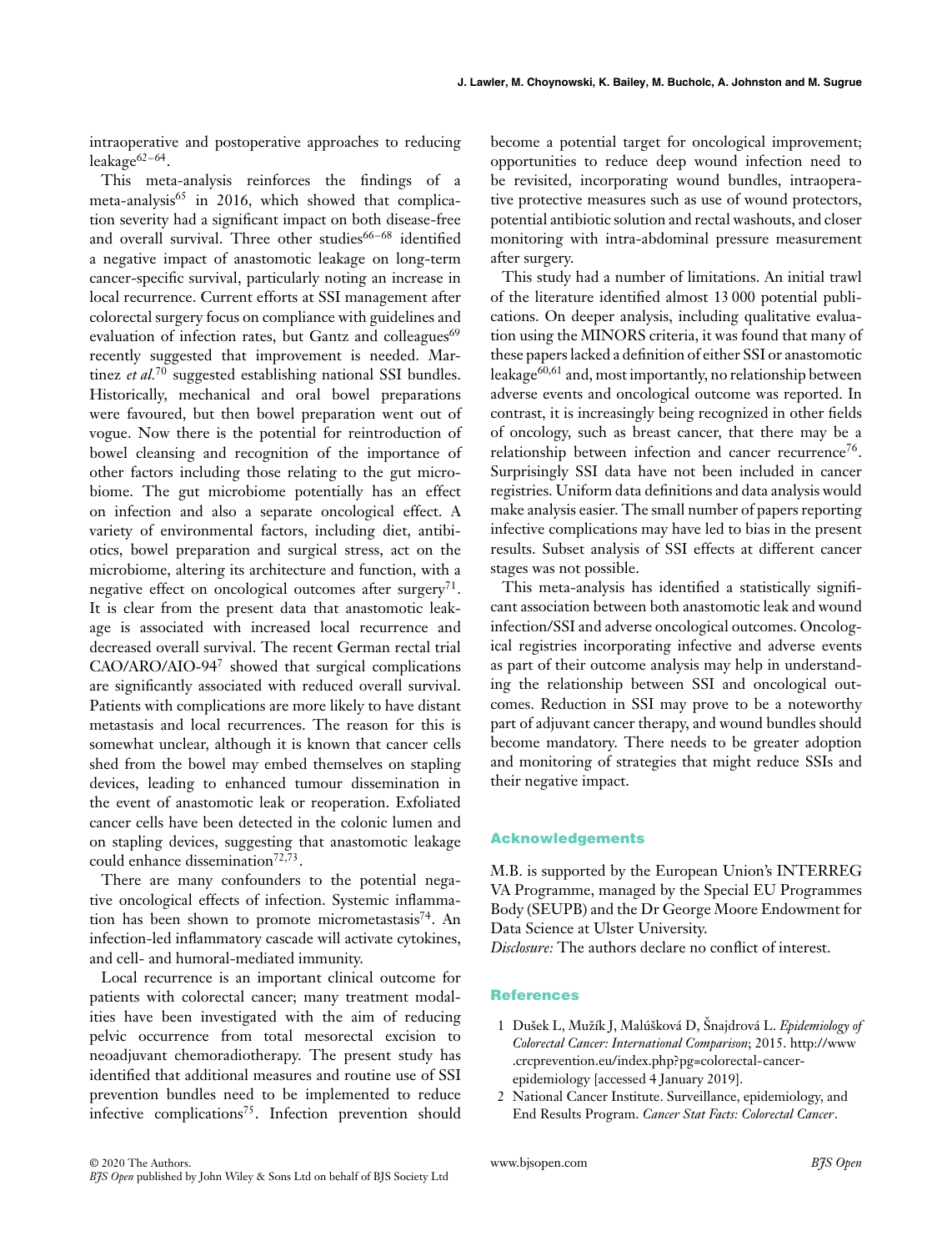intraoperative and postoperative approaches to reducing leakage<sup>62-64</sup>.

This meta-analysis reinforces the findings of a meta-analysis $^{65}$  in 2016, which showed that complication severity had a significant impact on both disease-free and overall survival. Three other studies<sup>66-68</sup> identified a negative impact of anastomotic leakage on long-term cancer-specific survival, particularly noting an increase in local recurrence. Current efforts at SSI management after colorectal surgery focus on compliance with guidelines and evaluation of infection rates, but Gantz and colleagues<sup>69</sup> recently suggested that improvement is needed. Martinez *et al.*<sup>70</sup> suggested establishing national SSI bundles. Historically, mechanical and oral bowel preparations were favoured, but then bowel preparation went out of vogue. Now there is the potential for reintroduction of bowel cleansing and recognition of the importance of other factors including those relating to the gut microbiome. The gut microbiome potentially has an effect on infection and also a separate oncological effect. A variety of environmental factors, including diet, antibiotics, bowel preparation and surgical stress, act on the microbiome, altering its architecture and function, with a negative effect on oncological outcomes after surgery<sup>71</sup>. It is clear from the present data that anastomotic leakage is associated with increased local recurrence and decreased overall survival. The recent German rectal trial CAO/ARO/AIO-94<sup>7</sup> showed that surgical complications are significantly associated with reduced overall survival. Patients with complications are more likely to have distant metastasis and local recurrences. The reason for this is somewhat unclear, although it is known that cancer cells shed from the bowel may embed themselves on stapling devices, leading to enhanced tumour dissemination in the event of anastomotic leak or reoperation. Exfoliated cancer cells have been detected in the colonic lumen and on stapling devices, suggesting that anastomotic leakage could enhance dissemination<sup>72,73</sup>.

There are many confounders to the potential negative oncological effects of infection. Systemic inflammation has been shown to promote micrometastasis<sup>74</sup>. An infection-led inflammatory cascade will activate cytokines, and cell- and humoral-mediated immunity.

Local recurrence is an important clinical outcome for patients with colorectal cancer; many treatment modalities have been investigated with the aim of reducing pelvic occurrence from total mesorectal excision to neoadjuvant chemoradiotherapy. The present study has identified that additional measures and routine use of SSI prevention bundles need to be implemented to reduce infective complications<sup>75</sup>. Infection prevention should

become a potential target for oncological improvement; opportunities to reduce deep wound infection need to be revisited, incorporating wound bundles, intraoperative protective measures such as use of wound protectors, potential antibiotic solution and rectal washouts, and closer monitoring with intra-abdominal pressure measurement after surgery.

This study had a number of limitations. An initial trawl of the literature identified almost 13 000 potential publications. On deeper analysis, including qualitative evaluation using the MINORS criteria, it was found that many of these papers lacked a definition of either SSI or anastomotic leakage<sup>60,61</sup> and, most importantly, no relationship between adverse events and oncological outcome was reported. In contrast, it is increasingly being recognized in other fields of oncology, such as breast cancer, that there may be a relationship between infection and cancer recurrence<sup>76</sup>. Surprisingly SSI data have not been included in cancer registries. Uniform data definitions and data analysis would make analysis easier. The small number of papers reporting infective complications may have led to bias in the present results. Subset analysis of SSI effects at different cancer stages was not possible.

This meta-analysis has identified a statistically significant association between both anastomotic leak and wound infection/SSI and adverse oncological outcomes. Oncological registries incorporating infective and adverse events as part of their outcome analysis may help in understanding the relationship between SSI and oncological outcomes. Reduction in SSI may prove to be a noteworthy part of adjuvant cancer therapy, and wound bundles should become mandatory. There needs to be greater adoption and monitoring of strategies that might reduce SSIs and their negative impact.

#### **Acknowledgements**

M.B. is supported by the European Union's INTERREG VA Programme, managed by the Special EU Programmes Body (SEUPB) and the Dr George Moore Endowment for Data Science at Ulster University.

*Disclosure:* The authors declare no conflict of interest.

## **References**

- 1 Dušek L, Mužík J, Malúšková D, Šnajdrová L. *Epidemiology of Colorectal Cancer: International Comparison*; 2015. [http://www](http://www.crcprevention.eu/index.php?pg=colorectal-cancer-epidemiology) [.crcprevention.eu/index.php?pg=colorectal-cancer](http://www.crcprevention.eu/index.php?pg=colorectal-cancer-epidemiology)[epidemiology](http://www.crcprevention.eu/index.php?pg=colorectal-cancer-epidemiology) [accessed 4 January 2019].
- 2 National Cancer Institute. Surveillance, epidemiology, and End Results Program. *Cancer Stat Facts: Colorectal Cancer*.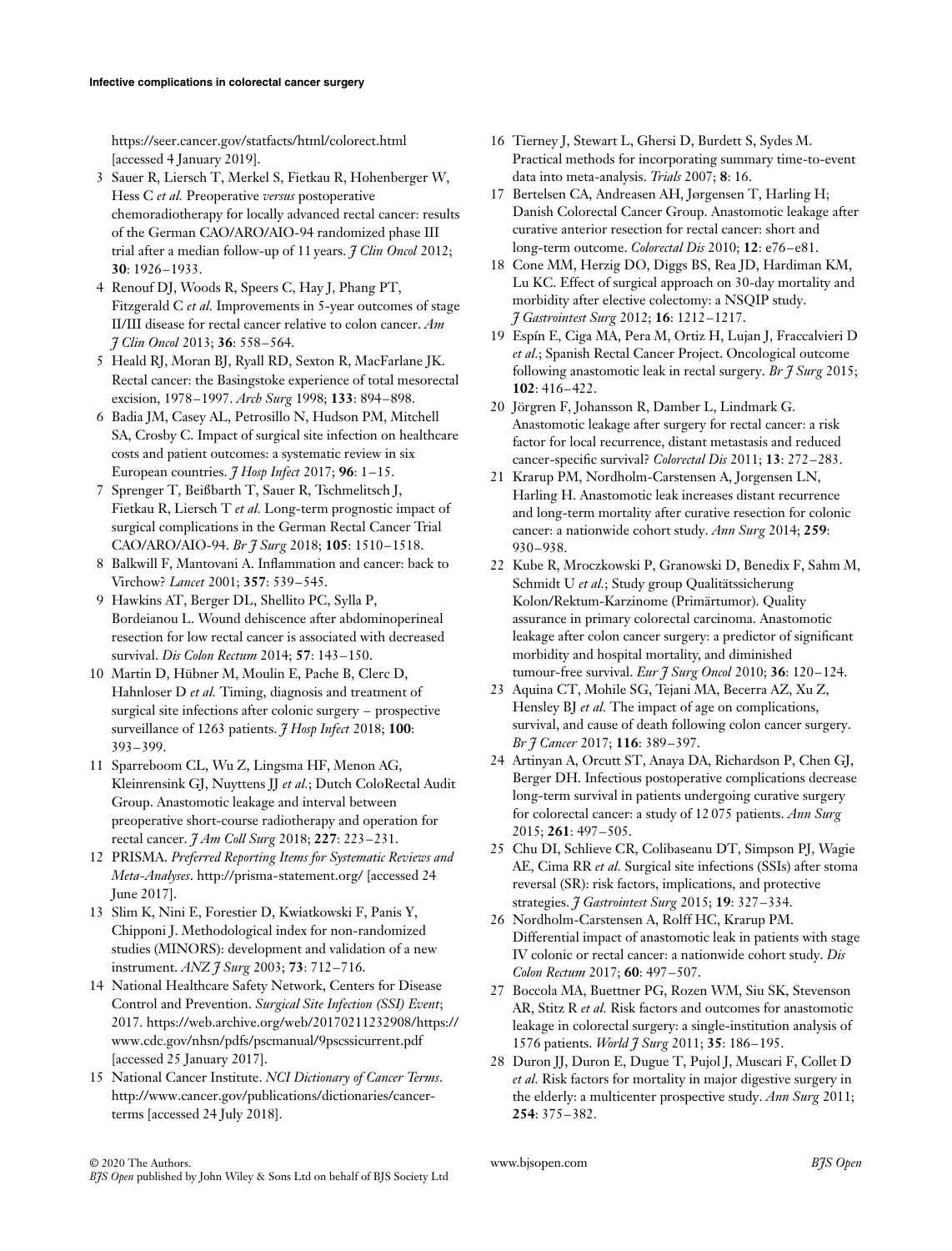<https://seer.cancer.gov/statfacts/html/colorect.html> [accessed 4 January 2019].

- 3 Sauer R, Liersch T, Merkel S, Fietkau R, Hohenberger W, Hess C *et al.* Preoperative *versus* postoperative chemoradiotherapy for locally advanced rectal cancer: results of the German CAO/ARO/AIO-94 randomized phase III trial after a median follow-up of 11 years. *J Clin Oncol* 2012; **30**: 1926–1933.
- 4 Renouf DJ, Woods R, Speers C, Hay J, Phang PT, Fitzgerald C *et al.* Improvements in 5-year outcomes of stage II/III disease for rectal cancer relative to colon cancer. *Am J Clin Oncol* 2013; **36**: 558–564.
- 5 Heald RJ, Moran BJ, Ryall RD, Sexton R, MacFarlane JK. Rectal cancer: the Basingstoke experience of total mesorectal excision, 1978–1997. *Arch Surg* 1998; **133**: 894–898.
- 6 Badia JM, Casey AL, Petrosillo N, Hudson PM, Mitchell SA, Crosby C. Impact of surgical site infection on healthcare costs and patient outcomes: a systematic review in six European countries. *J Hosp Infect* 2017; **96**: 1–15.
- 7 Sprenger T, Beißbarth T, Sauer R, Tschmelitsch J, Fietkau R, Liersch T *et al.* Long-term prognostic impact of surgical complications in the German Rectal Cancer Trial CAO/ARO/AIO-94. *Br J Surg* 2018; **105**: 1510–1518.
- 8 Balkwill F, Mantovani A. Inflammation and cancer: back to Virchow? *Lancet* 2001; **357**: 539–545.
- 9 Hawkins AT, Berger DL, Shellito PC, Sylla P, Bordeianou L. Wound dehiscence after abdominoperineal resection for low rectal cancer is associated with decreased survival. *Dis Colon Rectum* 2014; **57**: 143–150.
- 10 Martin D, Hübner M, Moulin E, Pache B, Clerc D, Hahnloser D *et al.* Timing, diagnosis and treatment of surgical site infections after colonic surgery – prospective surveillance of 1263 patients. *J Hosp Infect* 2018; **100**: 393–399.
- 11 Sparreboom CL, Wu Z, Lingsma HF, Menon AG, Kleinrensink GJ, Nuyttens JJ *et al.*; Dutch ColoRectal Audit Group. Anastomotic leakage and interval between preoperative short-course radiotherapy and operation for rectal cancer. *J Am Coll Surg* 2018; **227**: 223–231.
- 12 PRISMA. *Preferred Reporting Items for Systematic Reviews and Meta-Analyses*.<http://prisma-statement.org/> [accessed 24 June 2017].
- 13 Slim K, Nini E, Forestier D, Kwiatkowski F, Panis Y, Chipponi J. Methodological index for non-randomized studies (MINORS): development and validation of a new instrument. *ANZ J Surg* 2003; **73**: 712–716.
- 14 National Healthcare Safety Network, Centers for Disease Control and Prevention. *Surgical Site Infection (SSI) Event*; 2017. [https://web.archive.org/web/20170211232908/https://](https://web.archive.org/web/20170211232908/https://www.cdc.gov/nhsn/pdfs/pscmanual/9pscssicurrent.pdf) [www.cdc.gov/nhsn/pdfs/pscmanual/9pscssicurrent.pdf](https://web.archive.org/web/20170211232908/https://www.cdc.gov/nhsn/pdfs/pscmanual/9pscssicurrent.pdf) [accessed 25 January 2017].
- 15 National Cancer Institute. *NCI Dictionary of Cancer Terms*. [http://www.cancer.gov/publications/dictionaries/cancer](http://www.cancer.gov/publications/dictionaries/cancer-terms)[terms](http://www.cancer.gov/publications/dictionaries/cancer-terms) [accessed 24 July 2018].
- 16 Tierney J, Stewart L, Ghersi D, Burdett S, Sydes M. Practical methods for incorporating summary time-to-event data into meta-analysis. *Trials* 2007; **8**: 16.
- 17 Bertelsen CA, Andreasen AH, Jørgensen T, Harling H; Danish Colorectal Cancer Group. Anastomotic leakage after curative anterior resection for rectal cancer: short and long-term outcome. *Colorectal Dis* 2010; **12**: e76–e81.
- 18 Cone MM, Herzig DO, Diggs BS, Rea JD, Hardiman KM, Lu KC. Effect of surgical approach on 30-day mortality and morbidity after elective colectomy: a NSQIP study. *J Gastrointest Surg* 2012; **16**: 1212–1217.
- 19 Espín E, Ciga MA, Pera M, Ortiz H, Lujan J, Fraccalvieri D *et al.*; Spanish Rectal Cancer Project. Oncological outcome following anastomotic leak in rectal surgery. *Br J Surg* 2015; **102**: 416–422.
- 20 Jörgren F, Johansson R, Damber L, Lindmark G. Anastomotic leakage after surgery for rectal cancer: a risk factor for local recurrence, distant metastasis and reduced cancer-specific survival? *Colorectal Dis* 2011; **13**: 272–283.
- 21 Krarup PM, Nordholm-Carstensen A, Jorgensen LN, Harling H. Anastomotic leak increases distant recurrence and long-term mortality after curative resection for colonic cancer: a nationwide cohort study. *Ann Surg* 2014; **259**: 930–938.
- 22 Kube R, Mroczkowski P, Granowski D, Benedix F, Sahm M, Schmidt U *et al.*; Study group Qualitätssicherung Kolon/Rektum-Karzinome (Primärtumor). Quality assurance in primary colorectal carcinoma. Anastomotic leakage after colon cancer surgery: a predictor of significant morbidity and hospital mortality, and diminished tumour-free survival. *Eur J Surg Oncol* 2010; **36**: 120–124.
- 23 Aquina CT, Mohile SG, Tejani MA, Becerra AZ, Xu Z, Hensley BJ *et al.* The impact of age on complications, survival, and cause of death following colon cancer surgery. *Br J Cancer* 2017; **116**: 389–397.
- 24 Artinyan A, Orcutt ST, Anaya DA, Richardson P, Chen GJ, Berger DH. Infectious postoperative complications decrease long-term survival in patients undergoing curative surgery for colorectal cancer: a study of 12 075 patients. *Ann Surg* 2015; **261**: 497–505.
- 25 Chu DI, Schlieve CR, Colibaseanu DT, Simpson PJ, Wagie AE, Cima RR *et al.* Surgical site infections (SSIs) after stoma reversal (SR): risk factors, implications, and protective strategies. *J Gastrointest Surg* 2015; **19**: 327–334.
- 26 Nordholm-Carstensen A, Rolff HC, Krarup PM. Differential impact of anastomotic leak in patients with stage IV colonic or rectal cancer: a nationwide cohort study. *Dis Colon Rectum* 2017; **60**: 497–507.
- 27 Boccola MA, Buettner PG, Rozen WM, Siu SK, Stevenson AR, Stitz R *et al.* Risk factors and outcomes for anastomotic leakage in colorectal surgery: a single-institution analysis of 1576 patients. *World J Surg* 2011; **35**: 186–195.
- 28 Duron JJ, Duron E, Dugue T, Pujol J, Muscari F, Collet D *et al.* Risk factors for mortality in major digestive surgery in the elderly: a multicenter prospective study. *Ann Surg* 2011; **254**: 375–382.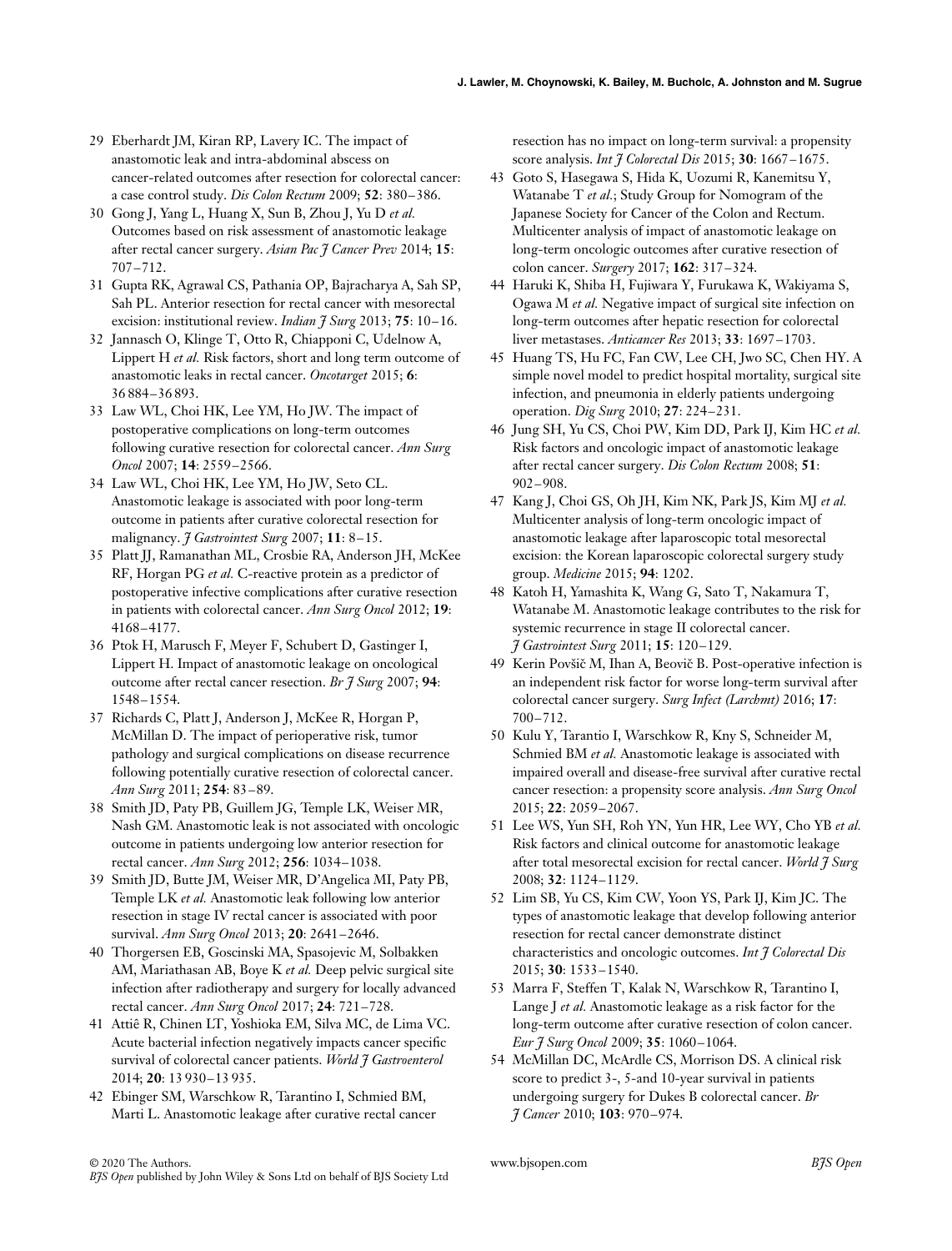- 29 Eberhardt JM, Kiran RP, Lavery IC. The impact of anastomotic leak and intra-abdominal abscess on cancer-related outcomes after resection for colorectal cancer: a case control study. *Dis Colon Rectum* 2009; **52**: 380–386.
- 30 Gong J, Yang L, Huang X, Sun B, Zhou J, Yu D *et al.* Outcomes based on risk assessment of anastomotic leakage after rectal cancer surgery. *Asian Pac J Cancer Prev* 2014; **15**: 707–712.
- 31 Gupta RK, Agrawal CS, Pathania OP, Bajracharya A, Sah SP, Sah PL. Anterior resection for rectal cancer with mesorectal excision: institutional review. *Indian J Surg* 2013; **75**: 10–16.
- 32 Jannasch O, Klinge T, Otto R, Chiapponi C, Udelnow A, Lippert H *et al.* Risk factors, short and long term outcome of anastomotic leaks in rectal cancer. *Oncotarget* 2015; **6**: 36 884–36 893.
- 33 Law WL, Choi HK, Lee YM, Ho JW. The impact of postoperative complications on long-term outcomes following curative resection for colorectal cancer. *Ann Surg Oncol* 2007; **14**: 2559–2566.
- 34 Law WL, Choi HK, Lee YM, Ho JW, Seto CL. Anastomotic leakage is associated with poor long-term outcome in patients after curative colorectal resection for malignancy. *J Gastrointest Surg* 2007; **11**: 8–15.
- 35 Platt JJ, Ramanathan ML, Crosbie RA, Anderson JH, McKee RF, Horgan PG *et al.* C-reactive protein as a predictor of postoperative infective complications after curative resection in patients with colorectal cancer. *Ann Surg Oncol* 2012; **19**: 4168–4177.
- 36 Ptok H, Marusch F, Meyer F, Schubert D, Gastinger I, Lippert H. Impact of anastomotic leakage on oncological outcome after rectal cancer resection. *Br J Surg* 2007; **94**: 1548–1554.
- 37 Richards C, Platt J, Anderson J, McKee R, Horgan P, McMillan D. The impact of perioperative risk, tumor pathology and surgical complications on disease recurrence following potentially curative resection of colorectal cancer. *Ann Surg* 2011; **254**: 83–89.
- 38 Smith JD, Paty PB, Guillem JG, Temple LK, Weiser MR, Nash GM. Anastomotic leak is not associated with oncologic outcome in patients undergoing low anterior resection for rectal cancer. *Ann Surg* 2012; **256**: 1034–1038.
- 39 Smith JD, Butte JM, Weiser MR, D'Angelica MI, Paty PB, Temple LK *et al.* Anastomotic leak following low anterior resection in stage IV rectal cancer is associated with poor survival. *Ann Surg Oncol* 2013; **20**: 2641–2646.
- 40 Thorgersen EB, Goscinski MA, Spasojevic M, Solbakken AM, Mariathasan AB, Boye K *et al.* Deep pelvic surgical site infection after radiotherapy and surgery for locally advanced rectal cancer. *Ann Surg Oncol* 2017; **24**: 721–728.
- 41 Attiê R, Chinen LT, Yoshioka EM, Silva MC, de Lima VC. Acute bacterial infection negatively impacts cancer specific survival of colorectal cancer patients. *World J Gastroenterol* 2014; **20**: 13 930–13 935.
- 42 Ebinger SM, Warschkow R, Tarantino I, Schmied BM, Marti L. Anastomotic leakage after curative rectal cancer

resection has no impact on long-term survival: a propensity score analysis. *Int J Colorectal Dis* 2015; **30**: 1667–1675.

- 43 Goto S, Hasegawa S, Hida K, Uozumi R, Kanemitsu Y, Watanabe T *et al.*; Study Group for Nomogram of the Japanese Society for Cancer of the Colon and Rectum. Multicenter analysis of impact of anastomotic leakage on long-term oncologic outcomes after curative resection of colon cancer. *Surgery* 2017; **162**: 317–324.
- 44 Haruki K, Shiba H, Fujiwara Y, Furukawa K, Wakiyama S, Ogawa M *et al.* Negative impact of surgical site infection on long-term outcomes after hepatic resection for colorectal liver metastases. *Anticancer Res* 2013; **33**: 1697–1703.
- 45 Huang TS, Hu FC, Fan CW, Lee CH, Jwo SC, Chen HY. A simple novel model to predict hospital mortality, surgical site infection, and pneumonia in elderly patients undergoing operation. *Dig Surg* 2010; **27**: 224–231.
- 46 Jung SH, Yu CS, Choi PW, Kim DD, Park IJ, Kim HC *et al.* Risk factors and oncologic impact of anastomotic leakage after rectal cancer surgery. *Dis Colon Rectum* 2008; **51**: 902–908.
- 47 Kang J, Choi GS, Oh JH, Kim NK, Park JS, Kim MJ *et al.* Multicenter analysis of long-term oncologic impact of anastomotic leakage after laparoscopic total mesorectal excision: the Korean laparoscopic colorectal surgery study group. *Medicine* 2015; **94**: 1202.
- 48 Katoh H, Yamashita K, Wang G, Sato T, Nakamura T, Watanabe M. Anastomotic leakage contributes to the risk for systemic recurrence in stage II colorectal cancer. *J Gastrointest Surg* 2011; **15**: 120–129.
- 49 Kerin Povšič M, Ihan A, Beovič B. Post-operative infection is an independent risk factor for worse long-term survival after colorectal cancer surgery. *Surg Infect (Larchmt)* 2016; **17**: 700–712.
- 50 Kulu Y, Tarantio I, Warschkow R, Kny S, Schneider M, Schmied BM *et al.* Anastomotic leakage is associated with impaired overall and disease-free survival after curative rectal cancer resection: a propensity score analysis. *Ann Surg Oncol* 2015; **22**: 2059–2067.
- 51 Lee WS, Yun SH, Roh YN, Yun HR, Lee WY, Cho YB *et al.* Risk factors and clinical outcome for anastomotic leakage after total mesorectal excision for rectal cancer. *World J Surg* 2008; **32**: 1124–1129.
- 52 Lim SB, Yu CS, Kim CW, Yoon YS, Park IJ, Kim JC. The types of anastomotic leakage that develop following anterior resection for rectal cancer demonstrate distinct characteristics and oncologic outcomes. *Int J Colorectal Dis* 2015; **30**: 1533–1540.
- 53 Marra F, Steffen T, Kalak N, Warschkow R, Tarantino I, Lange J *et al.* Anastomotic leakage as a risk factor for the long-term outcome after curative resection of colon cancer. *Eur J Surg Oncol* 2009; **35**: 1060–1064.
- 54 McMillan DC, McArdle CS, Morrison DS. A clinical risk score to predict 3-, 5-and 10-year survival in patients undergoing surgery for Dukes B colorectal cancer. *Br J Cancer* 2010; **103**: 970–974.